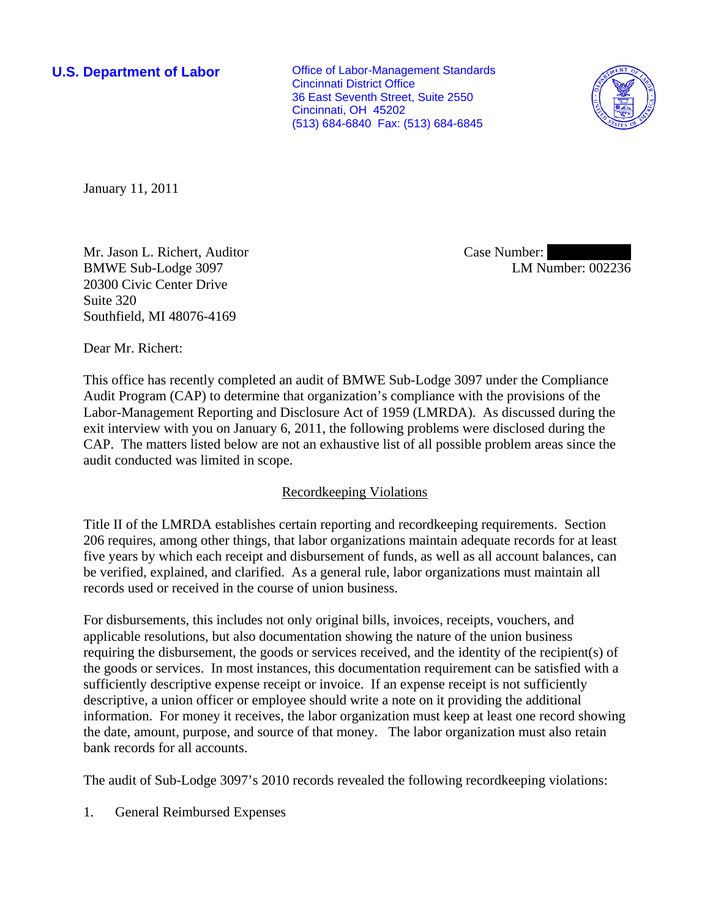**U.S. Department of Labor Conservative Conservative Conservative Conservative Conservative Conservative Conservative Conservative Conservative Conservative Conservative Conservative Conservative Conservative Conservative** Cincinnati District Office 36 East Seventh Street, Suite 2550 Cincinnati, OH 45202 (513) 684-6840 Fax: (513) 684-6845



January 11, 2011

Mr. Jason L. Richert, Auditor BMWE Sub-Lodge 3097 20300 Civic Center Drive Suite 320 Southfield, MI 48076-4169

Case Number: LM Number: 002236

Dear Mr. Richert:

This office has recently completed an audit of BMWE Sub-Lodge 3097 under the Compliance Audit Program (CAP) to determine that organization's compliance with the provisions of the Labor-Management Reporting and Disclosure Act of 1959 (LMRDA). As discussed during the exit interview with you on January 6, 2011, the following problems were disclosed during the CAP. The matters listed below are not an exhaustive list of all possible problem areas since the audit conducted was limited in scope.

## Recordkeeping Violations

Title II of the LMRDA establishes certain reporting and recordkeeping requirements. Section 206 requires, among other things, that labor organizations maintain adequate records for at least five years by which each receipt and disbursement of funds, as well as all account balances, can be verified, explained, and clarified. As a general rule, labor organizations must maintain all records used or received in the course of union business.

For disbursements, this includes not only original bills, invoices, receipts, vouchers, and applicable resolutions, but also documentation showing the nature of the union business requiring the disbursement, the goods or services received, and the identity of the recipient(s) of the goods or services. In most instances, this documentation requirement can be satisfied with a sufficiently descriptive expense receipt or invoice. If an expense receipt is not sufficiently descriptive, a union officer or employee should write a note on it providing the additional information. For money it receives, the labor organization must keep at least one record showing the date, amount, purpose, and source of that money. The labor organization must also retain bank records for all accounts.

The audit of Sub-Lodge 3097's 2010 records revealed the following recordkeeping violations:

1. General Reimbursed Expenses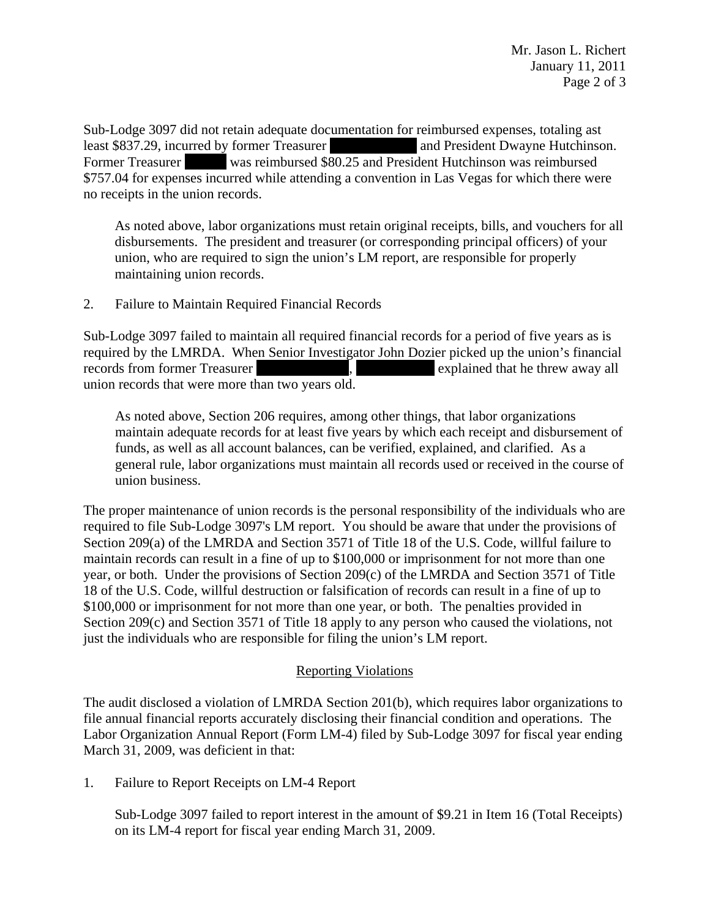Sub-Lodge 3097 did not retain adequate documentation for reimbursed expenses, totaling ast least \$837.29, incurred by former Treasurer ||||||||||||||| ||||||||||||||| and President Dwayne Hutchinson. Former Treasurer was reimbursed \$80.25 and President Hutchinson was reimbursed \$757.04 for expenses incurred while attending a convention in Las Vegas for which there were no receipts in the union records.

As noted above, labor organizations must retain original receipts, bills, and vouchers for all disbursements. The president and treasurer (or corresponding principal officers) of your union, who are required to sign the union's LM report, are responsible for properly maintaining union records.

2. Failure to Maintain Required Financial Records

Sub-Lodge 3097 failed to maintain all required financial records for a period of five years as is required by the LMRDA. When Senior Investigator John Dozier picked up the union's financial records from former Treasurer  $\blacksquare$ , explained that he threw away all union records that were more than two years old.

As noted above, Section 206 requires, among other things, that labor organizations maintain adequate records for at least five years by which each receipt and disbursement of funds, as well as all account balances, can be verified, explained, and clarified. As a general rule, labor organizations must maintain all records used or received in the course of union business.

The proper maintenance of union records is the personal responsibility of the individuals who are required to file Sub-Lodge 3097's LM report. You should be aware that under the provisions of Section 209(a) of the LMRDA and Section 3571 of Title 18 of the U.S. Code, willful failure to maintain records can result in a fine of up to \$100,000 or imprisonment for not more than one year, or both. Under the provisions of Section 209(c) of the LMRDA and Section 3571 of Title 18 of the U.S. Code, willful destruction or falsification of records can result in a fine of up to \$100,000 or imprisonment for not more than one year, or both. The penalties provided in Section 209(c) and Section 3571 of Title 18 apply to any person who caused the violations, not just the individuals who are responsible for filing the union's LM report.

## Reporting Violations

The audit disclosed a violation of LMRDA Section 201(b), which requires labor organizations to file annual financial reports accurately disclosing their financial condition and operations. The Labor Organization Annual Report (Form LM-4) filed by Sub-Lodge 3097 for fiscal year ending March 31, 2009, was deficient in that:

1. Failure to Report Receipts on LM-4 Report

Sub-Lodge 3097 failed to report interest in the amount of \$9.21 in Item 16 (Total Receipts) on its LM-4 report for fiscal year ending March 31, 2009.